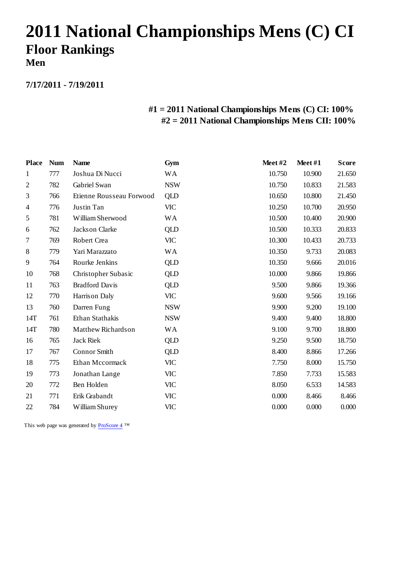# **2011 National Championships Mens (C) CI Floor Rankings**

**Men**

**7/17/2011 - 7/19/2011**

### **#1 = 2011 National Championships Mens (C) CI: 100% #2 = 2011 National Championships Mens CII: 100%**

| <b>Place</b>   | <b>Num</b> | <b>Name</b>              | Gym        | Meet#2 | Meet#1 | <b>Score</b> |
|----------------|------------|--------------------------|------------|--------|--------|--------------|
| 1              | 777        | Joshua Di Nucci          | <b>WA</b>  | 10.750 | 10.900 | 21.650       |
| $\mathfrak{2}$ | 782        | Gabriel Swan             | <b>NSW</b> | 10.750 | 10.833 | 21.583       |
| 3              | 766        | Etienne Rousseau Forwood | QLD        | 10.650 | 10.800 | 21.450       |
| 4              | 776        | Justin Tan               | <b>VIC</b> | 10.250 | 10.700 | 20.950       |
| 5              | 781        | William Sherwood         | <b>WA</b>  | 10.500 | 10.400 | 20.900       |
| 6              | 762        | Jackson Clarke           | QLD        | 10.500 | 10.333 | 20.833       |
| 7              | 769        | Robert Crea              | <b>VIC</b> | 10.300 | 10.433 | 20.733       |
| 8              | 779        | Yari Marazzato           | <b>WA</b>  | 10.350 | 9.733  | 20.083       |
| 9              | 764        | Rourke Jenkins           | QLD        | 10.350 | 9.666  | 20.016       |
| 10             | 768        | Christopher Subasic      | QLD        | 10.000 | 9.866  | 19.866       |
| 11             | 763        | <b>Bradford Davis</b>    | QLD        | 9.500  | 9.866  | 19.366       |
| 12             | 770        | Harrison Daly            | <b>VIC</b> | 9.600  | 9.566  | 19.166       |
| 13             | 760        | Darren Fung              | <b>NSW</b> | 9.900  | 9.200  | 19.100       |
| 14T            | 761        | Ethan Stathakis          | <b>NSW</b> | 9.400  | 9.400  | 18.800       |
| 14T            | 780        | Matthew Richardson       | <b>WA</b>  | 9.100  | 9.700  | 18.800       |
| 16             | 765        | <b>Jack Riek</b>         | QLD        | 9.250  | 9.500  | 18.750       |
| 17             | 767        | Connor Smith             | QLD        | 8.400  | 8.866  | 17.266       |
| 18             | 775        | Ethan Mccormack          | <b>VIC</b> | 7.750  | 8.000  | 15.750       |
| 19             | 773        | Jonathan Lange           | <b>VIC</b> | 7.850  | 7.733  | 15.583       |
| 20             | 772        | Ben Holden               | <b>VIC</b> | 8.050  | 6.533  | 14.583       |
| 21             | 771        | Erik Grabandt            | <b>VIC</b> | 0.000  | 8.466  | 8.466        |
| 22             | 784        | William Shurey           | <b>VIC</b> | 0.000  | 0.000  | 0.000        |
|                |            |                          |            |        |        |              |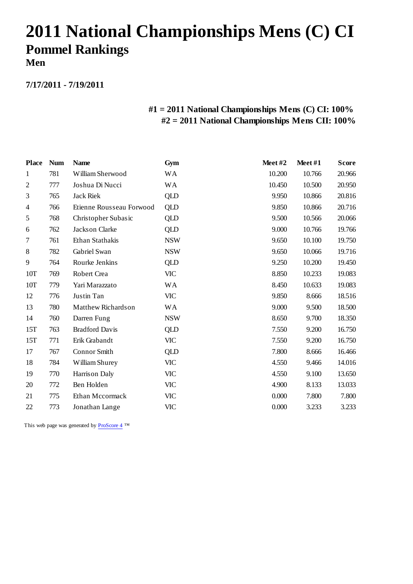### **2011 National Championships Mens (C) CI Pommel Rankings**

**Men**

**7/17/2011 - 7/19/2011**

### **#1 = 2011 National Championships Mens (C) CI: 100% #2 = 2011 National Championships Mens CII: 100%**

| <b>Place</b>   | <b>Num</b> | <b>Name</b>              | Gym        | Meet#2 | Meet#1 | <b>Score</b> |
|----------------|------------|--------------------------|------------|--------|--------|--------------|
| $\mathbf{1}$   | 781        | William Sherwood         | <b>WA</b>  | 10.200 | 10.766 | 20.966       |
| $\overline{2}$ | 777        | Joshua Di Nucci          | <b>WA</b>  | 10.450 | 10.500 | 20.950       |
| 3              | 765        | <b>Jack Riek</b>         | <b>QLD</b> | 9.950  | 10.866 | 20.816       |
| $\overline{4}$ | 766        | Etienne Rousseau Forwood | <b>QLD</b> | 9.850  | 10.866 | 20.716       |
| 5              | 768        | Christopher Subasic      | <b>QLD</b> | 9.500  | 10.566 | 20.066       |
| 6              | 762        | Jackson Clarke           | QLD        | 9.000  | 10.766 | 19.766       |
| 7              | 761        | Ethan Stathakis          | <b>NSW</b> | 9.650  | 10.100 | 19.750       |
| 8              | 782        | Gabriel Swan             | <b>NSW</b> | 9.650  | 10.066 | 19.716       |
| 9              | 764        | Rourke Jenkins           | QLD        | 9.250  | 10.200 | 19.450       |
| 10T            | 769        | Robert Crea              | <b>VIC</b> | 8.850  | 10.233 | 19.083       |
| 10T            | 779        | Yari Marazzato           | <b>WA</b>  | 8.450  | 10.633 | 19.083       |
| 12             | 776        | Justin Tan               | <b>VIC</b> | 9.850  | 8.666  | 18.516       |
| 13             | 780        | Matthew Richardson       | <b>WA</b>  | 9.000  | 9.500  | 18.500       |
| 14             | 760        | Darren Fung              | <b>NSW</b> | 8.650  | 9.700  | 18.350       |
| 15T            | 763        | <b>Bradford Davis</b>    | QLD        | 7.550  | 9.200  | 16.750       |
| 15T            | 771        | Erik Grabandt            | <b>VIC</b> | 7.550  | 9.200  | 16.750       |
| 17             | 767        | Connor Smith             | QLD        | 7.800  | 8.666  | 16.466       |
| 18             | 784        | William Shurey           | VIC        | 4.550  | 9.466  | 14.016       |
| 19             | 770        | Harrison Daly            | <b>VIC</b> | 4.550  | 9.100  | 13.650       |
| 20             | 772        | Ben Holden               | <b>VIC</b> | 4.900  | 8.133  | 13.033       |
| 21             | 775        | Ethan Mccormack          | <b>VIC</b> | 0.000  | 7.800  | 7.800        |
| 22             | 773        | Jonathan Lange           | <b>VIC</b> | 0.000  | 3.233  | 3.233        |
|                |            |                          |            |        |        |              |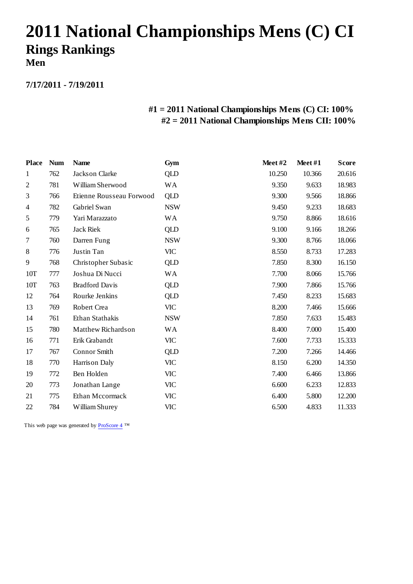# **2011 National Championships Mens (C) CI Rings Rankings**

**Men**

**7/17/2011 - 7/19/2011**

### **#1 = 2011 National Championships Mens (C) CI: 100% #2 = 2011 National Championships Mens CII: 100%**

| <b>Num</b> | <b>Name</b>              | Gym        | Meet#2 | Meet#1 | <b>Score</b> |
|------------|--------------------------|------------|--------|--------|--------------|
| 762        | Jackson Clarke           | QLD        | 10.250 | 10.366 | 20.616       |
| 781        | William Sherwood         | <b>WA</b>  | 9.350  | 9.633  | 18.983       |
| 766        | Etienne Rousseau Forwood | QLD        | 9.300  | 9.566  | 18.866       |
| 782        | Gabriel Swan             | <b>NSW</b> | 9.450  | 9.233  | 18.683       |
| 779        | Yari Marazzato           | <b>WA</b>  | 9.750  | 8.866  | 18.616       |
| 765        | <b>Jack Riek</b>         | QLD        | 9.100  | 9.166  | 18.266       |
| 760        | Darren Fung              | <b>NSW</b> | 9.300  | 8.766  | 18.066       |
| 776        | Justin Tan               | <b>VIC</b> | 8.550  | 8.733  | 17.283       |
| 768        | Christopher Subasic      | QLD        | 7.850  | 8.300  | 16.150       |
| 777        | Joshua Di Nucci          | <b>WA</b>  | 7.700  | 8.066  | 15.766       |
| 763        | <b>Bradford Davis</b>    | QLD        | 7.900  | 7.866  | 15.766       |
| 764        | Rourke Jenkins           | QLD        | 7.450  | 8.233  | 15.683       |
| 769        | Robert Crea              | <b>VIC</b> | 8.200  | 7.466  | 15.666       |
| 761        | Ethan Stathakis          | <b>NSW</b> | 7.850  | 7.633  | 15.483       |
| 780        | Matthew Richardson       | <b>WA</b>  | 8.400  | 7.000  | 15.400       |
| 771        | Erik Grabandt            | <b>VIC</b> | 7.600  | 7.733  | 15.333       |
| 767        | Connor Smith             | QLD        | 7.200  | 7.266  | 14.466       |
| 770        | Harrison Daly            | <b>VIC</b> | 8.150  | 6.200  | 14.350       |
| 772        | Ben Holden               | <b>VIC</b> | 7.400  | 6.466  | 13.866       |
| 773        | Jonathan Lange           | <b>VIC</b> | 6.600  | 6.233  | 12.833       |
| 775        | Ethan Mccormack          | <b>VIC</b> | 6.400  | 5.800  | 12.200       |
| 784        | William Shurey           | VIC        | 6.500  | 4.833  | 11.333       |
|            |                          |            |        |        |              |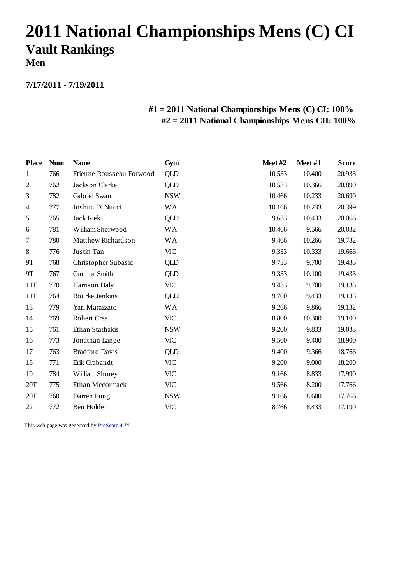# **2011 National Championships Mens (C) CI Vault Rankings**

**Men**

**7/17/2011 - 7/19/2011**

### **#1 = 2011 National Championships Mens (C) CI: 100% #2 = 2011 National Championships Mens CII: 100%**

| <b>Num</b> | <b>Name</b>              | Gym        | Meet#2 | Meet#1 | <b>Score</b> |
|------------|--------------------------|------------|--------|--------|--------------|
| 766        | Etienne Rousseau Forwood | <b>QLD</b> | 10.533 | 10.400 | 20.933       |
| 762        | Jackson Clarke           | <b>QLD</b> | 10.533 | 10.366 | 20.899       |
| 782        | Gabriel Swan             | <b>NSW</b> | 10.466 | 10.233 | 20.699       |
| 777        | Joshua Di Nucci          | <b>WA</b>  | 10.166 | 10.233 | 20.399       |
| 765        | <b>Jack Riek</b>         | QLD        | 9.633  | 10.433 | 20.066       |
| 781        | William Sherwood         | <b>WA</b>  | 10.466 | 9.566  | 20.032       |
| 780        | Matthew Richardson       | <b>WA</b>  | 9.466  | 10.266 | 19.732       |
| 776        | Justin Tan               | VIC        | 9.333  | 10.333 | 19.666       |
| 768        | Christopher Subasic      | QLD        | 9.733  | 9.700  | 19.433       |
| 767        | Connor Smith             | QLD        | 9.333  | 10.100 | 19.433       |
| 770        | Harrison Daly            | <b>VIC</b> | 9.433  | 9.700  | 19.133       |
| 764        | Rourke Jenkins           | QLD        | 9.700  | 9.433  | 19.133       |
| 779        | Yari Marazzato           | <b>WA</b>  | 9.266  | 9.866  | 19.132       |
| 769        | Robert Crea              | <b>VIC</b> | 8.800  | 10.300 | 19.100       |
| 761        | Ethan Stathakis          | <b>NSW</b> | 9.200  | 9.833  | 19.033       |
| 773        | Jonathan Lange           | <b>VIC</b> | 9.500  | 9.400  | 18.900       |
| 763        | <b>Bradford Davis</b>    | QLD        | 9.400  | 9.366  | 18.766       |
| 771        | Erik Grabandt            | <b>VIC</b> | 9.200  | 9.000  | 18.200       |
| 784        | William Shurey           | <b>VIC</b> | 9.166  | 8.833  | 17.999       |
| 775        | Ethan Mccormack          | <b>VIC</b> | 9.566  | 8.200  | 17.766       |
| 760        | Darren Fung              | <b>NSW</b> | 9.166  | 8.600  | 17.766       |
| 772        | Ben Holden               | <b>VIC</b> | 8.766  | 8.433  | 17.199       |
|            |                          |            |        |        |              |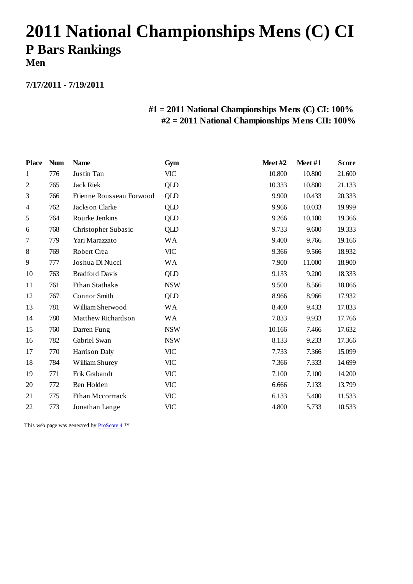# **2011 National Championships Mens (C) CI P Bars Rankings**

**Men**

**7/17/2011 - 7/19/2011**

### **#1 = 2011 National Championships Mens (C) CI: 100% #2 = 2011 National Championships Mens CII: 100%**

| <b>Num</b> | <b>Name</b>              | Gym        | Meet#2 | Meet#1 | <b>Score</b> |
|------------|--------------------------|------------|--------|--------|--------------|
| 776        | Justin Tan               | <b>VIC</b> | 10.800 | 10.800 | 21.600       |
| 765        | <b>Jack Riek</b>         | <b>QLD</b> | 10.333 | 10.800 | 21.133       |
| 766        | Etienne Rousseau Forwood | <b>QLD</b> | 9.900  | 10.433 | 20.333       |
| 762        | Jackson Clarke           | <b>QLD</b> | 9.966  | 10.033 | 19.999       |
| 764        | Rourke Jenkins           | <b>QLD</b> | 9.266  | 10.100 | 19.366       |
| 768        | Christopher Subasic      | <b>QLD</b> | 9.733  | 9.600  | 19.333       |
| 779        | Yari Marazzato           | <b>WA</b>  | 9.400  | 9.766  | 19.166       |
| 769        | Robert Crea              | <b>VIC</b> | 9.366  | 9.566  | 18.932       |
| 777        | Joshua Di Nucci          | <b>WA</b>  | 7.900  | 11.000 | 18.900       |
| 763        | <b>Bradford Davis</b>    | QLD        | 9.133  | 9.200  | 18.333       |
| 761        | Ethan Stathakis          | <b>NSW</b> | 9.500  | 8.566  | 18.066       |
| 767        | Connor Smith             | <b>QLD</b> | 8.966  | 8.966  | 17.932       |
| 781        | William Sherwood         | <b>WA</b>  | 8.400  | 9.433  | 17.833       |
| 780        | Matthew Richardson       | <b>WA</b>  | 7.833  | 9.933  | 17.766       |
| 760        | Darren Fung              | <b>NSW</b> | 10.166 | 7.466  | 17.632       |
| 782        | Gabriel Swan             | <b>NSW</b> | 8.133  | 9.233  | 17.366       |
| 770        | Harrison Daly            | <b>VIC</b> | 7.733  | 7.366  | 15.099       |
| 784        | William Shurey           | <b>VIC</b> | 7.366  | 7.333  | 14.699       |
| 771        | Erik Grabandt            | <b>VIC</b> | 7.100  | 7.100  | 14.200       |
| 772        | Ben Holden               | <b>VIC</b> | 6.666  | 7.133  | 13.799       |
| 775        | Ethan Mccormack          | <b>VIC</b> | 6.133  | 5.400  | 11.533       |
| 773        | Jonathan Lange           | <b>VIC</b> | 4.800  | 5.733  | 10.533       |
|            |                          |            |        |        |              |